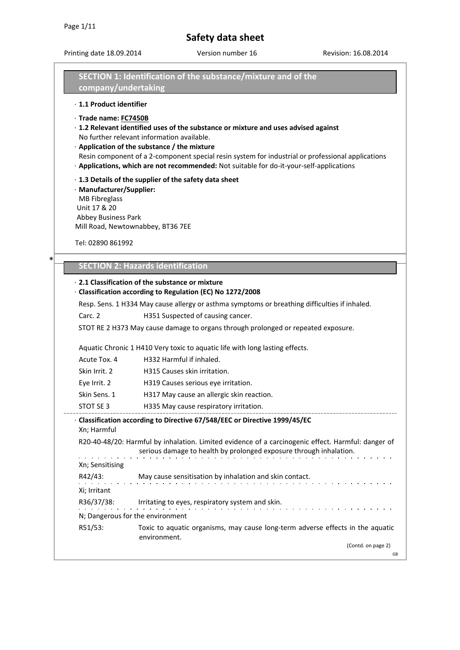\*

# **Safety data sheet**

Printing date 18.09.2014 Version number 16 Revision: 16.08.2014

|                                      | SECTION 1: Identification of the substance/mixture and of the                                                                                                                                                                                                                                                                                                                            |  |  |
|--------------------------------------|------------------------------------------------------------------------------------------------------------------------------------------------------------------------------------------------------------------------------------------------------------------------------------------------------------------------------------------------------------------------------------------|--|--|
| company/undertaking                  |                                                                                                                                                                                                                                                                                                                                                                                          |  |  |
| · 1.1 Product identifier             |                                                                                                                                                                                                                                                                                                                                                                                          |  |  |
| · Trade name: FC7450B                | $\cdot$ 1.2 Relevant identified uses of the substance or mixture and uses advised against<br>No further relevant information available.<br>· Application of the substance / the mixture<br>Resin component of a 2-component special resin system for industrial or professional applications<br>· Applications, which are not recommended: Not suitable for do-it-your-self-applications |  |  |
| <b>MB Fibreglass</b><br>Unit 17 & 20 | · 1.3 Details of the supplier of the safety data sheet<br>· Manufacturer/Supplier:<br><b>Abbey Business Park</b><br>Mill Road, Newtownabbey, BT36 7EE                                                                                                                                                                                                                                    |  |  |
| Tel: 02890 861992                    |                                                                                                                                                                                                                                                                                                                                                                                          |  |  |
| *                                    | <b>SECTION 2: Hazards identification</b>                                                                                                                                                                                                                                                                                                                                                 |  |  |
|                                      | ⋅ 2.1 Classification of the substance or mixture<br>· Classification according to Regulation (EC) No 1272/2008<br>Resp. Sens. 1 H334 May cause allergy or asthma symptoms or breathing difficulties if inhaled.                                                                                                                                                                          |  |  |
| Carc. 2                              | H351 Suspected of causing cancer.                                                                                                                                                                                                                                                                                                                                                        |  |  |
|                                      | STOT RE 2 H373 May cause damage to organs through prolonged or repeated exposure.                                                                                                                                                                                                                                                                                                        |  |  |
|                                      | Aquatic Chronic 1 H410 Very toxic to aquatic life with long lasting effects.                                                                                                                                                                                                                                                                                                             |  |  |
| Acute Tox. 4                         | H332 Harmful if inhaled.                                                                                                                                                                                                                                                                                                                                                                 |  |  |
| Skin Irrit. 2                        | H315 Causes skin irritation.                                                                                                                                                                                                                                                                                                                                                             |  |  |
| Eye Irrit. 2                         | H319 Causes serious eye irritation.                                                                                                                                                                                                                                                                                                                                                      |  |  |
| Skin Sens. 1                         | H317 May cause an allergic skin reaction.                                                                                                                                                                                                                                                                                                                                                |  |  |
| STOT SE 3                            | H335 May cause respiratory irritation.                                                                                                                                                                                                                                                                                                                                                   |  |  |
| Xn; Harmful                          | · Classification according to Directive 67/548/EEC or Directive 1999/45/EC                                                                                                                                                                                                                                                                                                               |  |  |
|                                      | R20-40-48/20: Harmful by inhalation. Limited evidence of a carcinogenic effect. Harmful: danger of<br>serious damage to health by prolonged exposure through inhalation.<br>المتعاط والمتعارف والمتعارف والمتعارف والمتعارف والمتعارف والمتعارف                                                                                                                                          |  |  |
| Xn; Sensitising<br>Xi; Irritant      | R42/43: May cause sensitisation by inhalation and skin contact.                                                                                                                                                                                                                                                                                                                          |  |  |
|                                      |                                                                                                                                                                                                                                                                                                                                                                                          |  |  |
|                                      | R36/37/38: Irritating to eyes, respiratory system and skin.                                                                                                                                                                                                                                                                                                                              |  |  |
|                                      | N; Dangerous for the environment                                                                                                                                                                                                                                                                                                                                                         |  |  |
| R51/53:                              | Toxic to aquatic organisms, may cause long-term adverse effects in the aquatic<br>environment.                                                                                                                                                                                                                                                                                           |  |  |
|                                      | (Contd. on page 2)<br>GB                                                                                                                                                                                                                                                                                                                                                                 |  |  |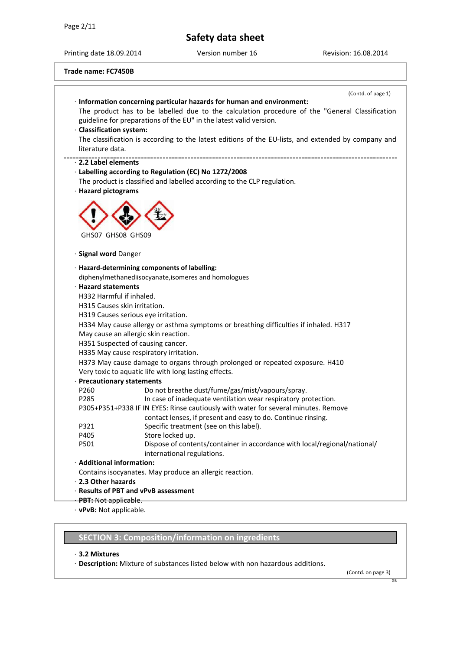Printing date 18.09.2014 Version number 16 Revision: 16.08.2014

| Trade name: FC7450B |  |  |  |  |
|---------------------|--|--|--|--|
|---------------------|--|--|--|--|

|                            | (Contd. of page 1)                                                                                                                                                       |
|----------------------------|--------------------------------------------------------------------------------------------------------------------------------------------------------------------------|
|                            | · Information concerning particular hazards for human and environment:<br>The product has to be labelled due to the calculation procedure of the "General Classification |
|                            | guideline for preparations of the EU" in the latest valid version.                                                                                                       |
| · Classification system:   |                                                                                                                                                                          |
|                            | The classification is according to the latest editions of the EU-lists, and extended by company and                                                                      |
| literature data.           |                                                                                                                                                                          |
| 2.2 Label elements         |                                                                                                                                                                          |
|                            | · Labelling according to Regulation (EC) No 1272/2008                                                                                                                    |
|                            | The product is classified and labelled according to the CLP regulation.                                                                                                  |
| · Hazard pictograms        |                                                                                                                                                                          |
| GHS07 GHS08 GHS09          |                                                                                                                                                                          |
| · Signal word Danger       |                                                                                                                                                                          |
|                            | · Hazard-determining components of labelling:                                                                                                                            |
|                            | diphenylmethanediisocyanate, isomeres and homologues                                                                                                                     |
| · Hazard statements        |                                                                                                                                                                          |
| H332 Harmful if inhaled.   |                                                                                                                                                                          |
|                            | H315 Causes skin irritation.                                                                                                                                             |
|                            | H319 Causes serious eye irritation.                                                                                                                                      |
|                            | H334 May cause allergy or asthma symptoms or breathing difficulties if inhaled. H317                                                                                     |
|                            | May cause an allergic skin reaction.                                                                                                                                     |
|                            | H351 Suspected of causing cancer.                                                                                                                                        |
|                            | H335 May cause respiratory irritation.                                                                                                                                   |
|                            | H373 May cause damage to organs through prolonged or repeated exposure. H410                                                                                             |
|                            | Very toxic to aquatic life with long lasting effects.                                                                                                                    |
| · Precautionary statements |                                                                                                                                                                          |
| P260                       | Do not breathe dust/fume/gas/mist/vapours/spray.                                                                                                                         |
| P285                       | In case of inadequate ventilation wear respiratory protection.                                                                                                           |
|                            | P305+P351+P338 IF IN EYES: Rinse cautiously with water for several minutes. Remove                                                                                       |
|                            | contact lenses, if present and easy to do. Continue rinsing.                                                                                                             |
| P321                       | Specific treatment (see on this label).                                                                                                                                  |
| P405                       | Store locked up.                                                                                                                                                         |
| P501                       | Dispose of contents/container in accordance with local/regional/national/<br>international regulations.                                                                  |
| · Additional information:  |                                                                                                                                                                          |
|                            | Contains isocyanates. May produce an allergic reaction.                                                                                                                  |
| · 2.3 Other hazards        |                                                                                                                                                                          |
|                            | · Results of PBT and vPvB assessment                                                                                                                                     |
| PBT: Not applicable.       |                                                                                                                                                                          |
|                            | · vPvB: Not applicable.                                                                                                                                                  |

**SECTION 3: Composition/information on ingredients**

#### · **3.2 Mixtures**

· **Description:** Mixture of substances listed below with non hazardous additions.

(Contd. on page 3)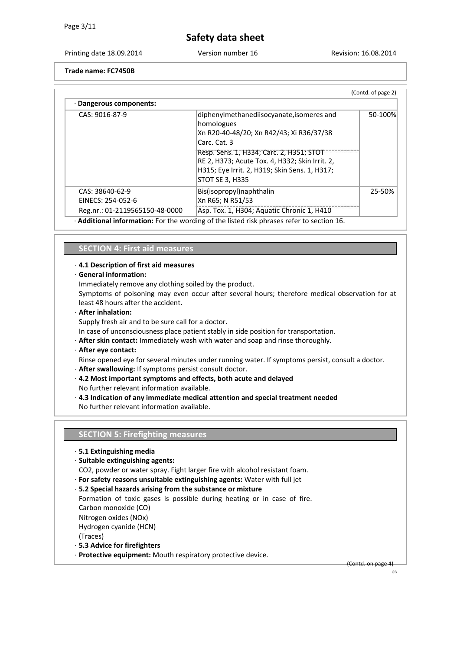Printing date 18.09.2014 Version number 16 Revision: 16.08.2014

**Trade name: FC7450B**

| · Dangerous components:                                                |                                                                                                                                                                                                                                                                                              |         |
|------------------------------------------------------------------------|----------------------------------------------------------------------------------------------------------------------------------------------------------------------------------------------------------------------------------------------------------------------------------------------|---------|
| CAS: 9016-87-9                                                         | diphenylmethanediisocyanate, isomeres and<br>homologues<br>Xn R20-40-48/20; Xn R42/43; Xi R36/37/38<br>Carc. Cat. 3<br>Resp. Sens. 1, H334; Carc. 2, H351; STOT<br>RE 2, H373; Acute Tox. 4, H332; Skin Irrit. 2,<br>H315; Eye Irrit. 2, H319; Skin Sens. 1, H317;<br><b>STOT SE 3, H335</b> | 50-100% |
| CAS: 38640-62-9<br>EINECS: 254-052-6<br>Reg.nr.: 01-2119565150-48-0000 | Bis(isopropyl) naphthalin<br>Xn R65; N R51/53<br>Asp. Tox. 1, H304; Aquatic Chronic 1, H410                                                                                                                                                                                                  | 25-50%  |

**ng of the listed** 

## **SECTION 4: First aid measures**

#### · **4.1 Description of first aid measures**

#### · **General information:**

Immediately remove any clothing soiled by the product.

Symptoms of poisoning may even occur after several hours; therefore medical observation for at least 48 hours after the accident.

· **After inhalation:** 

Supply fresh air and to be sure call for a doctor.

In case of unconsciousness place patient stably in side position for transportation.

- · **After skin contact:** Immediately wash with water and soap and rinse thoroughly.
- · **After eye contact:**

Rinse opened eye for several minutes under running water. If symptoms persist, consult a doctor.

- · **After swallowing:** If symptoms persist consult doctor.
- · **4.2 Most important symptoms and effects, both acute and delayed**

No further relevant information available.

· **4.3 Indication of any immediate medical attention and special treatment needed**  No further relevant information available.

#### **SECTION 5: Firefighting measures**

- · **5.1 Extinguishing media**
- · **Suitable extinguishing agents:**
- CO2, powder or water spray. Fight larger fire with alcohol resistant foam.
- · **For safety reasons unsuitable extinguishing agents:** Water with full jet
- · **5.2 Special hazards arising from the substance or mixture**

Formation of toxic gases is possible during heating or in case of fire. Carbon monoxide (CO) Nitrogen oxides (NOx) Hydrogen cyanide (HCN) (Traces)

- · **5.3 Advice for firefighters**
- · **Protective equipment:** Mouth respiratory protective device.

(Contd. on page 4)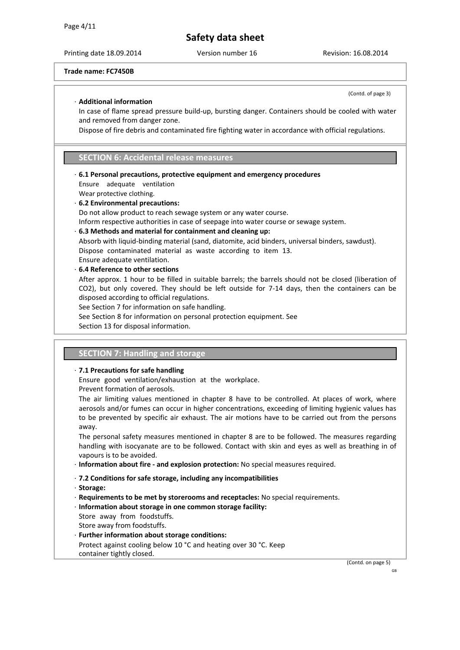Printing date 18.09.2014 Version number 16 Revision: 16.08.2014

(Contd. of page 3)

**Trade name: FC7450B**

#### · **Additional information**

In case of flame spread pressure build-up, bursting danger. Containers should be cooled with water and removed from danger zone.

Dispose of fire debris and contaminated fire fighting water in accordance with official regulations.

### **SECTION 6: Accidental release measures**

· **6.1 Personal precautions, protective equipment and emergency procedures** 

Ensure adequate ventilation

- Wear protective clothing.
- · **6.2 Environmental precautions:**  Do not allow product to reach sewage system or any water course. Inform respective authorities in case of seepage into water course or sewage system. · **6.3 Methods and material for containment and cleaning up:**  Absorb with liquid-binding material (sand, diatomite, acid binders, universal binders, sawdust). Dispose contaminated material as waste according to item 13. Ensure adequate ventilation.
- · **6.4 Reference to other sections**
- After approx. 1 hour to be filled in suitable barrels; the barrels should not be closed (liberation of CO2), but only covered. They should be left outside for 7-14 days, then the containers can be disposed according to official regulations.

See Section 7 for information on safe handling.

- See Section 8 for information on personal protection equipment. See
- Section 13 for disposal information.

### **SECTION 7: Handling and storage**

#### · **7.1 Precautions for safe handling**

Ensure good ventilation/exhaustion at the workplace. Prevent formation of aerosols.

The air limiting values mentioned in chapter 8 have to be controlled. At places of work, where aerosols and/or fumes can occur in higher concentrations, exceeding of limiting hygienic values has to be prevented by specific air exhaust. The air motions have to be carried out from the persons away.

The personal safety measures mentioned in chapter 8 are to be followed. The measures regarding handling with isocyanate are to be followed. Contact with skin and eyes as well as breathing in of vapours is to be avoided.

- · **Information about fire - and explosion protection:** No special measures required.
- · **7.2 Conditions for safe storage, including any incompatibilities**
- · **Storage:**
- · **Requirements to be met by storerooms and receptacles:** No special requirements.
- · **Information about storage in one common storage facility:**
- Store away from foodstuffs.
- Store away from foodstuffs.
- Further information about storage conditions:
- Protect against cooling below 10 °C and heating over 30 °C. Keep container tightly closed.

(Contd. on page 5)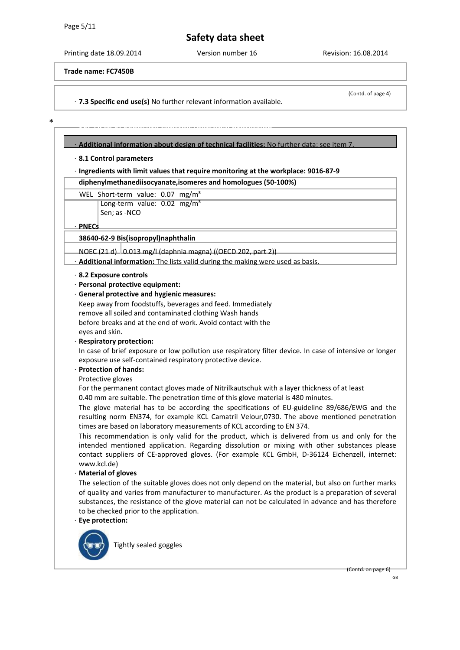\*

## **Safety data sheet**

Printing date 18.09.2014 Version number 16 Revision: 16.08.2014

**Trade name: FC7450B**

· **7.3 Specific end use(s)** No further relevant information available.

SECTION 8: EXPOSURE 2014 AVA PATH BEALAW ALAH *da* tahun 2014 berada sa tahun 2014 dan kalamatan <mark>personal perso</mark><br>Personal personal personal personal personal personal personal personal personal personal personal personal

(Contd. of page 4)

#### · **Additional information about design of technical facilities:** No further data; see item 7.

#### · **8.1 Control parameters**

· **Ingredients with limit values that require monitoring at the workplace: 9016-87-9** 

**diphenylmethanediisocyanate,isomeres and homologues (50-100%)** 

WEL Short-term value: 0.07 mg/m<sup>3</sup> Long-term value: 0.02 mg/m<sup>3</sup> Sen; as -NCO

· **PNECs** 

### **38640-62-9 Bis(isopropyl)naphthalin**

 $NOEC (21 d)$  0.013 mg/l (daphnia magna) ((OECD 202, part 2))

· **Additional information:** The lists valid during the making were used as basis.

#### · **8.2 Exposure controls**

- · **Personal protective equipment:**
- · **General protective and hygienic measures:**

Keep away from foodstuffs, beverages and feed. Immediately remove all soiled and contaminated clothing Wash hands before breaks and at the end of work. Avoid contact with the eyes and skin.

· **Respiratory protection:** 

In case of brief exposure or low pollution use respiratory filter device. In case of intensive or longer exposure use self-contained respiratory protective device.

#### · **Protection of hands:**

Protective gloves

For the permanent contact gloves made of Nitrilkautschuk with a layer thickness of at least 0.40 mm are suitable. The penetration time of this glove material is 480 minutes.

The glove material has to be according the specifications of EU-guideline 89/686/EWG and the resulting norm EN374, for example KCL Camatril Velour,0730. The above mentioned penetration times are based on laboratory measurements of KCL according to EN 374.

This recommendation is only valid for the product, which is delivered from us and only for the intended mentioned application. Regarding dissolution or mixing with other substances please contact suppliers of CE-approved gloves. (For example KCL GmbH, D-36124 Eichenzell, internet[:](http://www.kcl.de)/)  [www.kcl.de\)](http://www.kcl.de)/)

#### · **Material of gloves**

The selection of the suitable gloves does not only depend on the material, but also on further marks of quality and varies from manufacturer to manufacturer. As the product is a preparation of several substances, the resistance of the glove material can not be calculated in advance and has therefore to be checked prior to the application.

## · **Eye protection:**



Tightly sealed goggles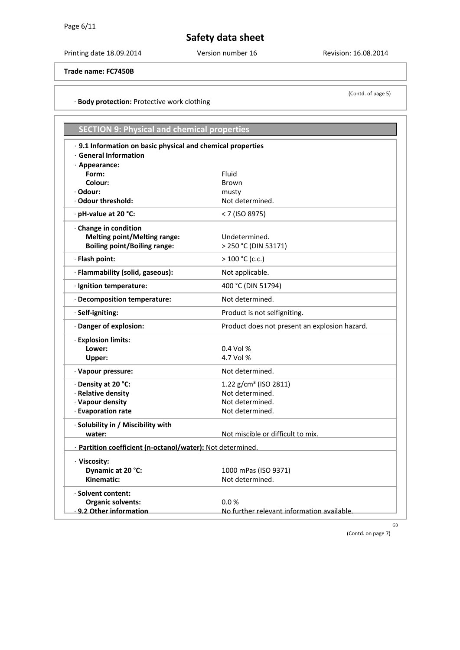Printing date 18.09.2014 Version number 16 Revision: 16.08.2014

#### **Trade name: FC7450B**

#### · **Body protection:** Protective work clothing

| <b>SECTION 9: Physical and chemical properties</b>          |                                               |  |
|-------------------------------------------------------------|-----------------------------------------------|--|
| · 9.1 Information on basic physical and chemical properties |                                               |  |
| $\cdot$ General Information                                 |                                               |  |
| · Appearance:                                               |                                               |  |
| Form:                                                       | Fluid                                         |  |
| Colour:                                                     | <b>Brown</b>                                  |  |
| · Odour:                                                    | musty                                         |  |
| Odour threshold:                                            | Not determined.                               |  |
| · pH-value at 20 °C:                                        | < 7 (ISO 8975)                                |  |
| · Change in condition                                       |                                               |  |
| <b>Melting point/Melting range:</b>                         | Undetermined.                                 |  |
| <b>Boiling point/Boiling range:</b>                         | > 250 °C (DIN 53171)                          |  |
| · Flash point:                                              | $> 100 °C$ (c.c.)                             |  |
| · Flammability (solid, gaseous):                            | Not applicable.                               |  |
| · Ignition temperature:                                     | 400 °C (DIN 51794)                            |  |
| · Decomposition temperature:                                | Not determined.                               |  |
| · Self-igniting:                                            | Product is not selfigniting.                  |  |
| · Danger of explosion:                                      | Product does not present an explosion hazard. |  |
| · Explosion limits:                                         |                                               |  |
| Lower:                                                      | $0.4$ Vol %                                   |  |
| Upper:                                                      | 4.7 Vol %                                     |  |
| · Vapour pressure:                                          | Not determined.                               |  |
| · Density at 20 °C:                                         | 1.22 $g/cm3$ (ISO 2811)                       |  |
| · Relative density                                          | Not determined.                               |  |
| · Vapour density                                            | Not determined.                               |  |
| · Evaporation rate                                          | Not determined.                               |  |
| · Solubility in / Miscibility with                          |                                               |  |
| water:                                                      | Not miscible or difficult to mix.             |  |
| · Partition coefficient (n-octanol/water): Not determined.  |                                               |  |
| · Viscosity:                                                |                                               |  |
| Dynamic at 20 °C:                                           | 1000 mPas (ISO 9371)                          |  |
| Kinematic:                                                  | Not determined.                               |  |
| · Solvent content:                                          |                                               |  |
| <b>Organic solvents:</b>                                    | 0.0%                                          |  |
| 9.2 Other information                                       | No further relevant information available.    |  |

GB

(Contd. on page 7)

(Contd. of page 5)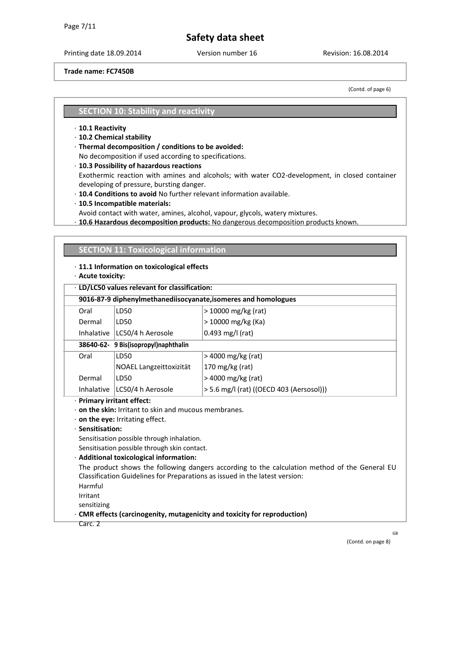Printing date 18.09.2014 Version number 16 Revision: 16.08.2014

**Trade name: FC7450B**

(Contd. of page 6)

#### **SECTION 10: Stability and reactivity**

- · **10.1 Reactivity**
- · **10.2 Chemical stability**
- · **Thermal decomposition / conditions to be avoided:**

No decomposition if used according to specifications.

· **10.3 Possibility of hazardous reactions** 

Exothermic reaction with amines and alcohols; with water CO2-development, in closed container developing of pressure, bursting danger.

- · **10.4 Conditions to avoid** No further relevant information available.
- · **10.5 Incompatible materials:**
- Avoid contact with water, amines, alcohol, vapour, glycols, watery mixtures.
- · **10.6 Hazardous decomposition products:** No dangerous decomposition products known.

| $\cdot$ 11.1 Information on toxicological effects<br>· Acute toxicity: |                                                             |                                                                                               |
|------------------------------------------------------------------------|-------------------------------------------------------------|-----------------------------------------------------------------------------------------------|
|                                                                        | · LD/LC50 values relevant for classification:               |                                                                                               |
|                                                                        |                                                             | 9016-87-9 diphenylmethanediisocyanate, isomeres and homologues                                |
| Oral                                                                   | LD50                                                        | > 10000 mg/kg (rat)                                                                           |
| Dermal                                                                 | LD50                                                        | > 10000 mg/kg (Ka)                                                                            |
|                                                                        | Inhalative   LC50/4 h Aerosole                              | 0.493 mg/l (rat)                                                                              |
|                                                                        | 38640-62- 9 Bis(isopropyl)naphthalin                        |                                                                                               |
| Oral                                                                   | LD50                                                        | > 4000 mg/kg (rat)                                                                            |
|                                                                        | NOAEL Langzeittoxizität                                     | 170 mg/kg (rat)                                                                               |
| Dermal                                                                 | LD50                                                        | > 4000 mg/kg (rat)                                                                            |
| Inhalative                                                             | LC50/4 h Aerosole                                           | > 5.6 mg/l (rat) ((OECD 403 (Aersosol)))                                                      |
| · Primary irritant effect:                                             |                                                             |                                                                                               |
|                                                                        | $\cdot$ on the skin: Irritant to skin and mucous membranes. |                                                                                               |
| · Sensitisation:                                                       | $\cdot$ on the eye: Irritating effect.                      |                                                                                               |
|                                                                        | Sensitisation possible through inhalation.                  |                                                                                               |
|                                                                        |                                                             |                                                                                               |
|                                                                        |                                                             |                                                                                               |
|                                                                        | Sensitisation possible through skin contact.                |                                                                                               |
|                                                                        | · Additional toxicological information:                     | The product shows the following dangers according to the calculation method of the General EU |
|                                                                        |                                                             | Classification Guidelines for Preparations as issued in the latest version:                   |
| Harmful                                                                |                                                             |                                                                                               |
| Irritant                                                               |                                                             |                                                                                               |

GB

(Contd. on page 8)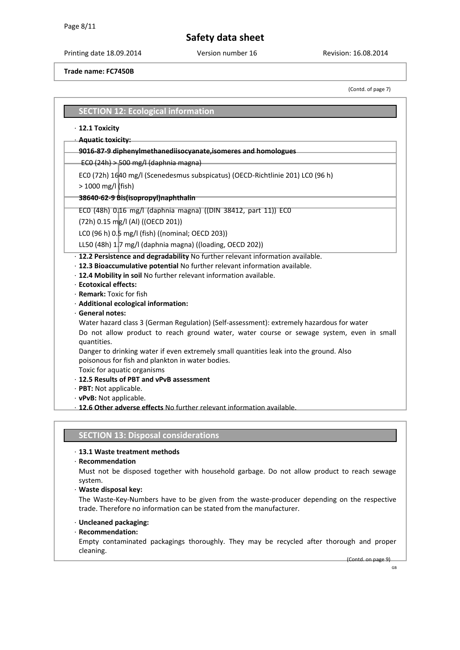Printing date 18.09.2014 Version number 16 Revision: 16.08.2014

**Trade name: FC7450B**

(Contd. of page 7)

### **SECTION 12: Ecological information**

#### · **12.1 Toxicity**

#### · **Aquatic toxicity:**

#### **9016-87-9 diphenylmethanediisocyanate,isomeres and homologues**

 $ECO(24h)$  > 500 mg/l (daphnia magna)

EC0 (72h) 1640 mg/l (Scenedesmus subspicatus) (OECD-Richtlinie 201) LC0 (96 h)

> 1000 mg/l (fish)

#### **38640-62-9 Bis(isopropyl)naphthalin**

EC0 (48h) 0.16 mg/l (daphnia magna) ((DIN 38412, part 11)) EC0

(72h) 0.15 mg/l (Al) ((OECD 201))

LC0 (96 h) 0.5 mg/l (fish) ((nominal; OECD 203))

LL50 (48h) 1.7 mg/l (daphnia magna) ((loading, OECD 202))

- · **12.2 Persistence and degradability** No further relevant information available.
- · **12.3 Bioaccumulative potential** No further relevant information available.
- · **12.4 Mobility in soil** No further relevant information available.
- · **Ecotoxical effects:**
- · **Remark:** Toxic for fish
- · **Additional ecological information:**
- · **General notes:**

Water hazard class 3 (German Regulation) (Self-assessment): extremely hazardous for water

Do not allow product to reach ground water, water course or sewage system, even in small quantities.

Danger to drinking water if even extremely small quantities leak into the ground. Also poisonous for fish and plankton in water bodies.

Toxic for aquatic organisms

· **12.5 Results of PBT and vPvB assessment** 

- · **PBT:** Not applicable.
- · **vPvB:** Not applicable.

· **12.6 Other adverse effects** No further relevant information available.

### **SECTION 13: Disposal considerations**

#### · **13.1 Waste treatment methods**

· **Recommendation** 

Must not be disposed together with household garbage. Do not allow product to reach sewage system.

· **Waste disposal key:** 

The Waste-Key-Numbers have to be given from the waste-producer depending on the respective trade. Therefore no information can be stated from the manufacturer.

- · **Uncleaned packaging:**
- · **Recommendation:**

Empty contaminated packagings thoroughly. They may be recycled after thorough and proper cleaning.

(Contd. on page 9)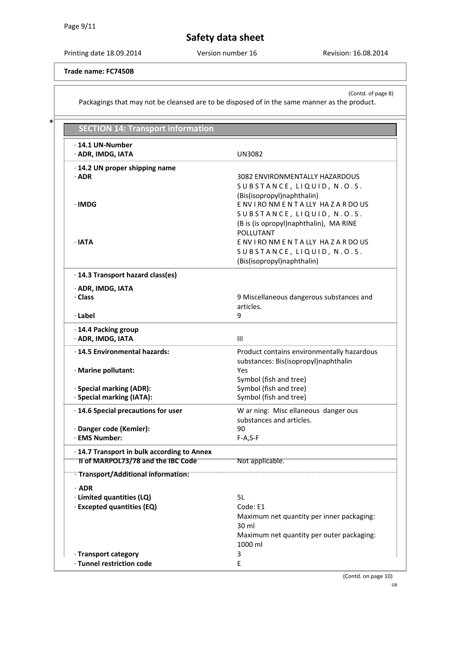\*

**Safety data sheet**

Printing date 18.09.2014 Version number 16 Revision: 16.08.2014

**Trade name: FC7450B**

(Contd. of page 8) Packagings that may not be cleansed are to be disposed of in the same manner as the product.

| <b>SECTION 14: Transport information</b>                                          |                                                                                                                        |
|-----------------------------------------------------------------------------------|------------------------------------------------------------------------------------------------------------------------|
| $\cdot$ 14.1 UN-Number<br>· ADR, IMDG, IATA                                       | <b>UN3082</b>                                                                                                          |
| · 14.2 UN proper shipping name<br>$\cdot$ ADR                                     | 3082 ENVIRONMENTALLY HAZARDOUS<br>SUBSTANCE, LIQUID, N.O.S.<br>(Bis(isopropyl)naphthalin)                              |
| ∙IMDG                                                                             | ENVIRONMENTALLY HAZARDOUS<br>SUBSTANCE, LIQUID, N.O.S.<br>(B is (is opropyl)naphthalin), MA RINE<br>POLLUTANT          |
| $\cdot$ IATA                                                                      | ENVIRONMENTALLY HAZARDOUS<br>SUBSTANCE, LIQUID, N.O.S.<br>(Bis(isopropyl)naphthalin)                                   |
| · 14.3 Transport hazard class(es)                                                 |                                                                                                                        |
| · ADR, IMDG, IATA<br>· Class                                                      | 9 Miscellaneous dangerous substances and<br>articles.                                                                  |
| · Label                                                                           | 9                                                                                                                      |
| · 14.4 Packing group<br>· ADR, IMDG, IATA                                         | III                                                                                                                    |
| · 14.5 Environmental hazards:<br>· Marine pollutant:                              | Product contains environmentally hazardous<br>substances: Bis(isopropyl)naphthalin<br>Yes                              |
| · Special marking (ADR):<br>· Special marking (IATA):                             | Symbol (fish and tree)<br>Symbol (fish and tree)<br>Symbol (fish and tree)                                             |
| · 14.6 Special precautions for user                                               | W ar ning: Misc ellaneous danger ous<br>substances and articles.                                                       |
| · Danger code (Kemler):<br>· EMS Number:                                          | 90<br>$F-A, S-F$                                                                                                       |
| · 14.7 Transport in bulk according to Annex<br>II of MARPOL73/78 and the IBC Code | Not applicable.                                                                                                        |
| Transport/Additional information:                                                 |                                                                                                                        |
| $·$ ADR                                                                           |                                                                                                                        |
| · Limited quantities (LQ)                                                         | 5L                                                                                                                     |
| · Excepted quantities (EQ)                                                        | Code: E1<br>Maximum net quantity per inner packaging:<br>30 ml<br>Maximum net quantity per outer packaging:<br>1000 ml |
| · Transport category                                                              | 3                                                                                                                      |
| · Tunnel restriction code                                                         | E                                                                                                                      |

(Contd. on page 10)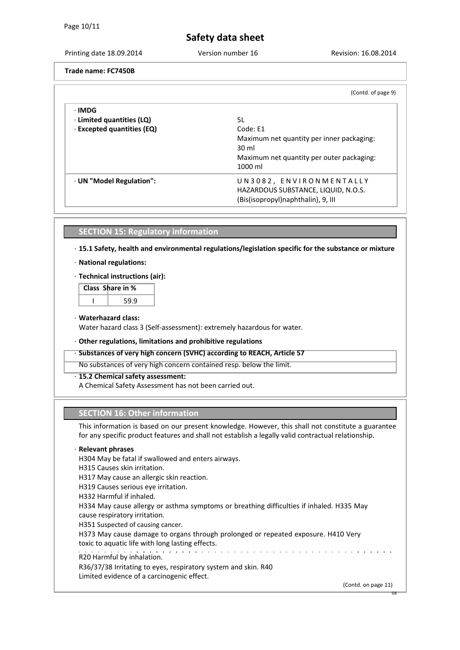Printing date 18.09.2014 Version number 16 Revision: 16.08.2014

**Trade name: FC7450B**

|                                  | (Contd. of page 9)                        |
|----------------------------------|-------------------------------------------|
| ∙IMDG                            |                                           |
| $\cdot$ Limited quantities (LQ)  | 5L                                        |
| $\cdot$ Excepted quantities (EQ) | Code: F1                                  |
|                                  | Maximum net quantity per inner packaging: |
|                                  | 30 ml                                     |
|                                  | Maximum net quantity per outer packaging: |
|                                  | 1000 ml                                   |
| · UN "Model Regulation":         | UN3082, ENVIRONMENTALLY                   |
|                                  | HAZARDOUS SUBSTANCE, LIQUID, N.O.S.       |
|                                  | (Bis(isopropyl)naphthalin), 9, III        |

### **SECTION 15: Regulatory information**

· **15.1 Safety, health and environmental regulations/legislation specific for the substance or mixture** 

- · **National regulations:**
- · **Technical instructions (air):**

| Class Share in % |
|------------------|
|                  |

#### · **Waterhazard class:**

Water hazard class 3 (Self-assessment): extremely hazardous for water.

#### · **Other regulations, limitations and prohibitive regulations**

#### · **Substances of very high concern (SVHC) according to REACH, Article 57**

No substances of very high concern contained resp. below the limit.

#### · **15.2 Chemical safety assessment:**

A Chemical Safety Assessment has not been carried out.

### **SECTION 16: Other information**

This information is based on our present knowledge. However, this shall not constitute a guarantee for any specific product features and shall not establish a legally valid contractual relationship.

#### · **Relevant phrases**

H304 May be fatal if swallowed and enters airways.

H315 Causes skin irritation.

H317 May cause an allergic skin reaction.

H319 Causes serious eye irritation.

H332 Harmful if inhaled.

H334 May cause allergy or asthma symptoms or breathing difficulties if inhaled. H335 May cause respiratory irritation.

H351 Suspected of causing cancer.

H373 May cause damage to organs through prolonged or repeated exposure. H410 Very toxic to aquatic life with long lasting effects.

R20 Harmful by inhalation.

R36/37/38 Irritating to eyes, respiratory system and skin. R40 Limited evidence of a carcinogenic effect.

(Contd. on page 11)